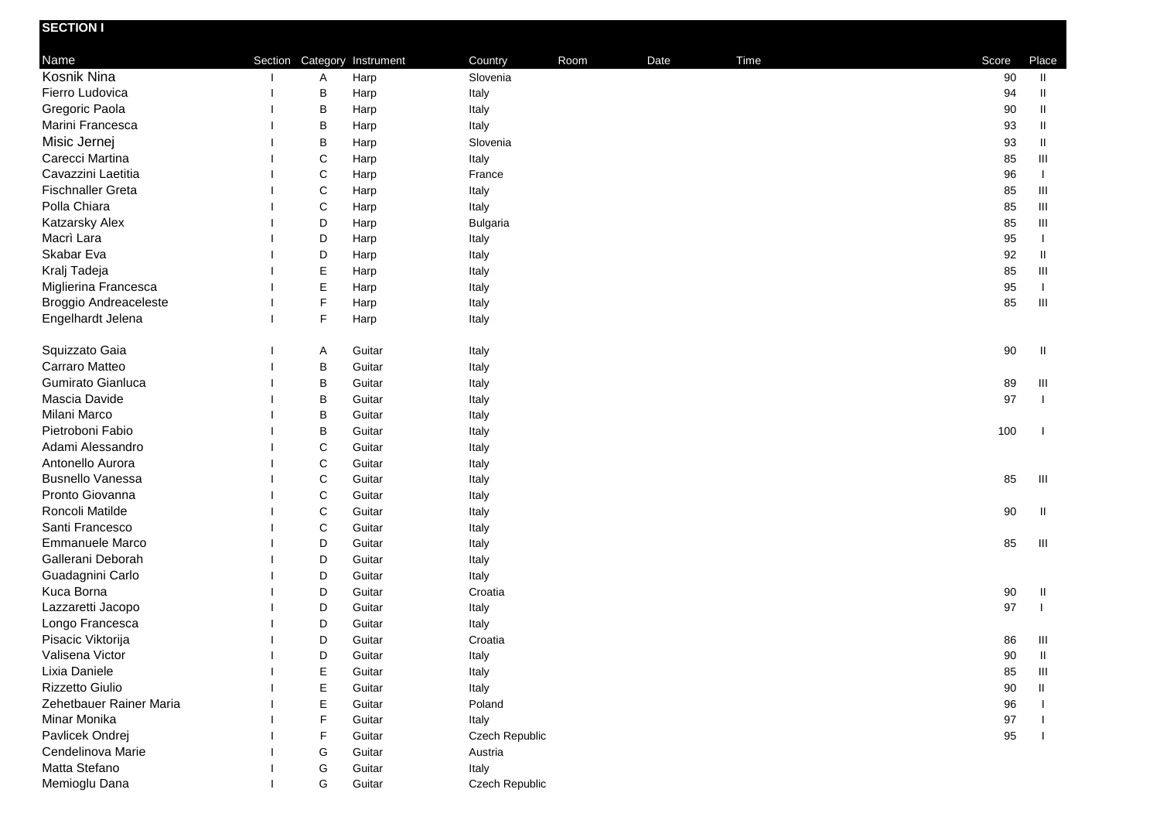| <b>SECTION I</b>             |             |                             |                 |      |      |      |       |                                  |
|------------------------------|-------------|-----------------------------|-----------------|------|------|------|-------|----------------------------------|
| Name                         |             | Section Category Instrument | Country         | Room | Date | Time | Score | Place                            |
| Kosnik Nina                  | Α           | Harp                        | Slovenia        |      |      |      | 90    | $\mathbf{H}$                     |
| Fierro Ludovica              | В           | Harp                        | Italy           |      |      |      | 94    | Ш                                |
| Gregoric Paola               | B           | Harp                        | Italy           |      |      |      | 90    | $\sf II$                         |
| Marini Francesca             | B           | Harp                        | Italy           |      |      |      | 93    | $\mathbf{II}$                    |
| Misic Jernej                 | В           | Harp                        | Slovenia        |      |      |      | 93    | $\mathbf{II}$                    |
| Carecci Martina              | $\mathsf C$ | Harp                        | Italy           |      |      |      | 85    | $\mathop{\mathsf{III}}\nolimits$ |
| Cavazzini Laetitia           | $\mathsf C$ | Harp                        | France          |      |      |      | 96    | $\mathbf{I}$                     |
| <b>Fischnaller Greta</b>     | $\mathsf C$ | Harp                        | Italy           |      |      |      | 85    | Ш                                |
| Polla Chiara                 | $\mathsf C$ | Harp                        | Italy           |      |      |      | 85    | Ш                                |
| Katzarsky Alex               | D           | Harp                        | <b>Bulgaria</b> |      |      |      | 85    | Ш                                |
| Macrì Lara                   | D           | Harp                        | Italy           |      |      |      | 95    | $\mathbf{I}$                     |
| Skabar Eva                   | D           | Harp                        | Italy           |      |      |      | 92    | Ш                                |
| Kralj Tadeja                 | Е           | Harp                        | Italy           |      |      |      | 85    | Ш                                |
| Miglierina Francesca         | Е           | Harp                        | Italy           |      |      |      | 95    | $\mathbf{I}$                     |
| <b>Broggio Andreaceleste</b> | F           | Harp                        | Italy           |      |      |      | 85    | Ш                                |
| Engelhardt Jelena            | F           | Harp                        | Italy           |      |      |      |       |                                  |
|                              |             |                             |                 |      |      |      |       |                                  |
| Squizzato Gaia               | Α           | Guitar                      | Italy           |      |      |      | 90    | H                                |
| Carraro Matteo               | B           | Guitar                      | Italy           |      |      |      |       |                                  |
| Gumirato Gianluca            | B           | Guitar                      | Italy           |      |      |      | 89    | Ш                                |
| Mascia Davide                | B           | Guitar                      | Italy           |      |      |      | 97    | $\mathbf{I}$                     |
| Milani Marco                 | B           | Guitar                      | Italy           |      |      |      |       |                                  |
| Pietroboni Fabio             | B           | Guitar                      | Italy           |      |      |      | 100   |                                  |
| Adami Alessandro             | C           | Guitar                      | Italy           |      |      |      |       |                                  |
| Antonello Aurora             | $\mathsf C$ | Guitar                      | Italy           |      |      |      |       |                                  |
| <b>Busnello Vanessa</b>      | $\mathsf C$ | Guitar                      | Italy           |      |      |      | 85    | Ш                                |
| Pronto Giovanna              | C           | Guitar                      | Italy           |      |      |      |       |                                  |
| Roncoli Matilde              | C           | Guitar                      | Italy           |      |      |      | 90    | Ш                                |
| Santi Francesco              | C           | Guitar                      | Italy           |      |      |      |       |                                  |
| Emmanuele Marco              | D           | Guitar                      | Italy           |      |      |      | 85    | Ш                                |
| Gallerani Deborah            | D           | Guitar                      | Italy           |      |      |      |       |                                  |
| Guadagnini Carlo             | D           | Guitar                      | Italy           |      |      |      |       |                                  |
| Kuca Borna                   | D           | Guitar                      | Croatia         |      |      |      | 90    | Ш                                |
| Lazzaretti Jacopo            | D           | Guitar                      | Italy           |      |      |      | 97    |                                  |
| Longo Francesca              | D           | Guitar                      | Italy           |      |      |      |       |                                  |
| Pisacic Viktorija            | D           | Guitar                      | Croatia         |      |      |      | 86    | Ш                                |
| Valisena Victor              | D           | Guitar                      | Italy           |      |      |      | 90    | Ш                                |
| Lixia Daniele                | Е           | Guitar                      | Italy           |      |      |      | 85    | Ш                                |
| Rizzetto Giulio              | Е           | Guitar                      | Italy           |      |      |      | 90    | H                                |
| Zehetbauer Rainer Maria      | E           | Guitar                      | Poland          |      |      |      | 96    |                                  |
| Minar Monika                 | F           | Guitar                      | Italy           |      |      |      | 97    |                                  |
| Pavlicek Ondrej              | F           | Guitar                      | Czech Republic  |      |      |      | 95    |                                  |
| Cendelinova Marie            | G           | Guitar                      | Austria         |      |      |      |       |                                  |
| Matta Stefano                | G           | Guitar                      | Italy           |      |      |      |       |                                  |
| Memioglu Dana                | G           | Guitar                      | Czech Republic  |      |      |      |       |                                  |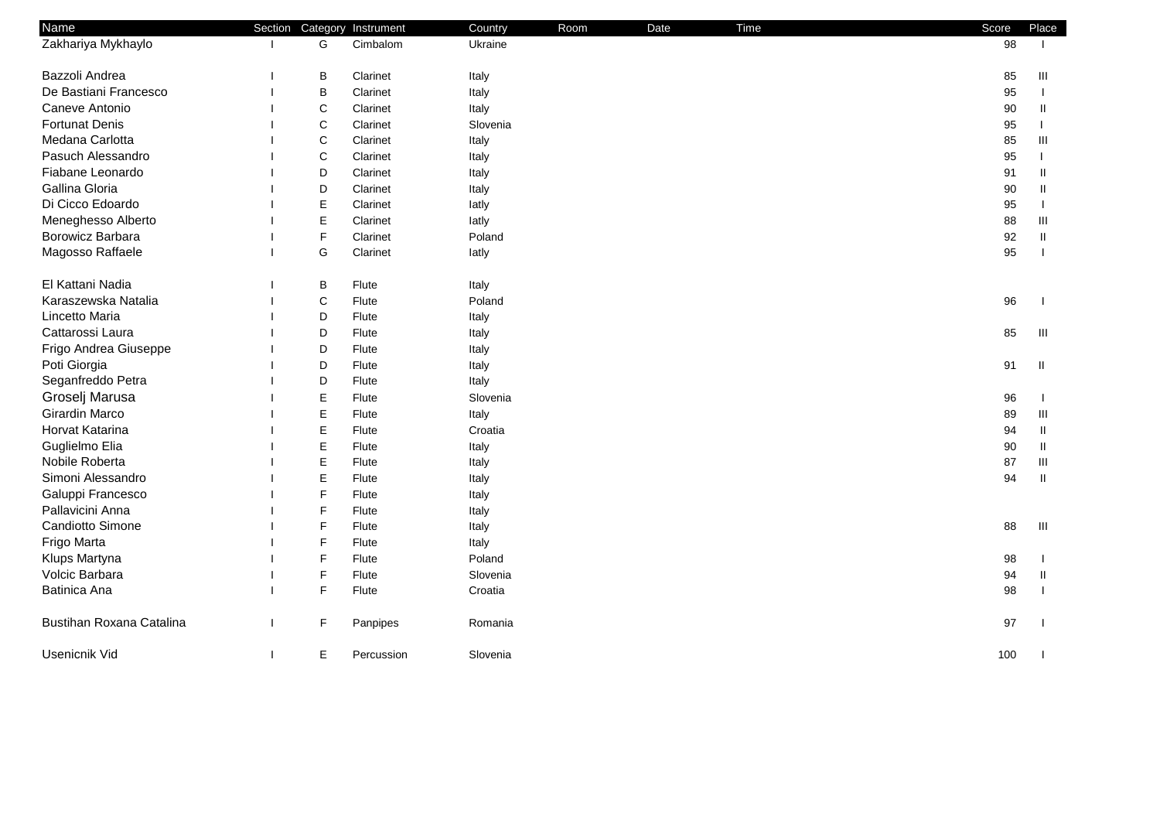| <b>Name</b>              | Section |              | Category Instrument | Country  | Room | Date | Time | Score  | Place         |
|--------------------------|---------|--------------|---------------------|----------|------|------|------|--------|---------------|
| Zakhariya Mykhaylo       |         | G            | Cimbalom            | Ukraine  |      |      |      | 98     |               |
| Bazzoli Andrea           |         | B            | Clarinet            | Italy    |      |      |      | 85     | Ш             |
| De Bastiani Francesco    |         | B            | Clarinet            | Italy    |      |      |      | 95     | -1            |
| Caneve Antonio           |         | $\mathsf{C}$ | Clarinet            | Italy    |      |      |      | 90     | Ш             |
| <b>Fortunat Denis</b>    |         | C            | Clarinet            | Slovenia |      |      |      | 95     |               |
| Medana Carlotta          |         | $\mathbf C$  | Clarinet            | Italy    |      |      |      | 85     | Ш             |
| Pasuch Alessandro        |         | $\mathsf C$  | Clarinet            | Italy    |      |      |      | 95     |               |
| Fiabane Leonardo         |         | D            | Clarinet            | Italy    |      |      |      | 91     | $\mathbf{I}$  |
| Gallina Gloria           |         | D            | Clarinet            | Italy    |      |      |      | $90\,$ | Ш             |
| Di Cicco Edoardo         |         | E            | Clarinet            | latly    |      |      |      | 95     |               |
| Meneghesso Alberto       |         | $\mathsf E$  | Clarinet            | latly    |      |      |      | 88     | Ш             |
| Borowicz Barbara         |         | F            | Clarinet            | Poland   |      |      |      | 92     | $\mathbf{II}$ |
| Magosso Raffaele         |         | G            | Clarinet            | latly    |      |      |      | 95     |               |
| El Kattani Nadia         |         | В            | Flute               | Italy    |      |      |      |        |               |
| Karaszewska Natalia      |         | C            | Flute               | Poland   |      |      |      | 96     |               |
| Lincetto Maria           |         | D            | Flute               | Italy    |      |      |      |        |               |
| Cattarossi Laura         |         | D            | Flute               | Italy    |      |      |      | 85     | Ш             |
| Frigo Andrea Giuseppe    |         | D            | Flute               | Italy    |      |      |      |        |               |
| Poti Giorgia             |         | D            | Flute               | Italy    |      |      |      | 91     | Ш             |
| Seganfreddo Petra        |         | D            | Flute               | Italy    |      |      |      |        |               |
| Groselj Marusa           |         | E            | Flute               | Slovenia |      |      |      | 96     |               |
| Girardin Marco           |         | E            | Flute               | Italy    |      |      |      | 89     | Ш             |
| Horvat Katarina          |         | E            | Flute               | Croatia  |      |      |      | 94     | Ш             |
| Guglielmo Elia           |         | E            | Flute               | Italy    |      |      |      | 90     | $\mathbf{H}$  |
| Nobile Roberta           |         | E            | Flute               | Italy    |      |      |      | 87     | Ш             |
| Simoni Alessandro        |         | E            | Flute               | Italy    |      |      |      | 94     | $\mathbf{II}$ |
| Galuppi Francesco        |         | F            | Flute               | Italy    |      |      |      |        |               |
| Pallavicini Anna         |         | F            | Flute               | Italy    |      |      |      |        |               |
| Candiotto Simone         |         | F            | Flute               | Italy    |      |      |      | 88     | Ш             |
| Frigo Marta              |         | F            | Flute               | Italy    |      |      |      |        |               |
| Klups Martyna            |         | F            | Flute               | Poland   |      |      |      | 98     |               |
| Volcic Barbara           |         | F            | Flute               | Slovenia |      |      |      | 94     | Ш             |
| Batinica Ana             |         | F            | Flute               | Croatia  |      |      |      | 98     |               |
| Bustihan Roxana Catalina |         | F            | Panpipes            | Romania  |      |      |      | 97     |               |
| Usenicnik Vid            |         | Е            | Percussion          | Slovenia |      |      |      | 100    |               |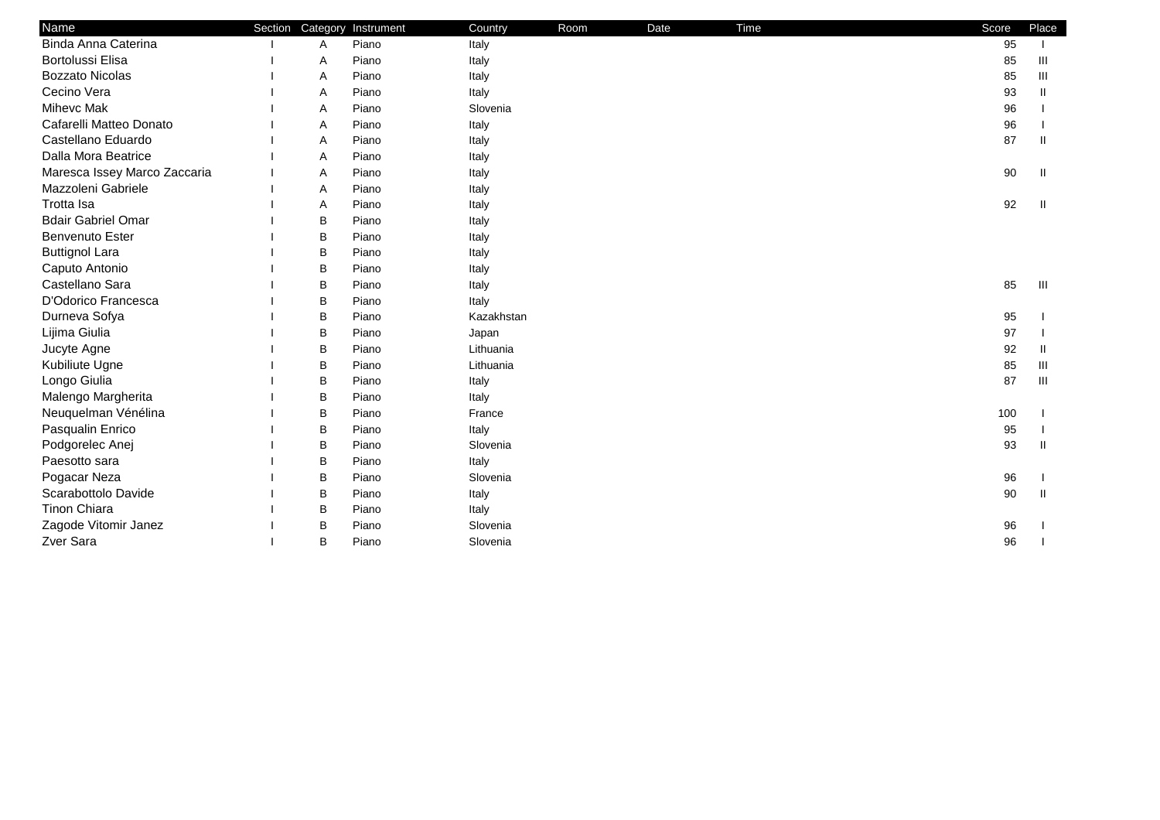| Name                         | Section Category | Instrument | Country    | Room | Date | Time | Score | Place |
|------------------------------|------------------|------------|------------|------|------|------|-------|-------|
| Binda Anna Caterina          | Α                | Piano      | Italy      |      |      |      | 95    |       |
| <b>Bortolussi Elisa</b>      | Α                | Piano      | Italy      |      |      |      | 85    | Ш     |
| <b>Bozzato Nicolas</b>       | Α                | Piano      | Italy      |      |      |      | 85    | Ш     |
| Cecino Vera                  | Α                | Piano      | Italy      |      |      |      | 93    | Ш     |
| Mihevc Mak                   | Α                | Piano      | Slovenia   |      |      |      | 96    |       |
| Cafarelli Matteo Donato      | Α                | Piano      | Italy      |      |      |      | 96    |       |
| Castellano Eduardo           | A                | Piano      | Italy      |      |      |      | 87    | Ш     |
| Dalla Mora Beatrice          | Α                | Piano      | Italy      |      |      |      |       |       |
| Maresca Issey Marco Zaccaria | Α                | Piano      | Italy      |      |      |      | 90    | Ш     |
| Mazzoleni Gabriele           | Α                | Piano      | Italy      |      |      |      |       |       |
| Trotta Isa                   | Α                | Piano      | Italy      |      |      |      | 92    | Ш     |
| <b>Bdair Gabriel Omar</b>    | B                | Piano      | Italy      |      |      |      |       |       |
| <b>Benvenuto Ester</b>       | B                | Piano      | Italy      |      |      |      |       |       |
| <b>Buttignol Lara</b>        | B                | Piano      | Italy      |      |      |      |       |       |
| Caputo Antonio               | B                | Piano      | Italy      |      |      |      |       |       |
| Castellano Sara              | B                | Piano      | Italy      |      |      |      | 85    | Ш     |
| D'Odorico Francesca          | B                | Piano      | Italy      |      |      |      |       |       |
| Durneva Sofya                | B                | Piano      | Kazakhstan |      |      |      | 95    |       |
| Lijima Giulia                | B                | Piano      | Japan      |      |      |      | 97    |       |
| Jucyte Agne                  | B                | Piano      | Lithuania  |      |      |      | 92    | H.    |
| Kubiliute Ugne               | B                | Piano      | Lithuania  |      |      |      | 85    | Ш     |
| Longo Giulia                 | B                | Piano      | Italy      |      |      |      | 87    | Ш     |
| Malengo Margherita           | B                | Piano      | Italy      |      |      |      |       |       |
| Neuquelman Vénélina          | B                | Piano      | France     |      |      |      | 100   |       |
| Pasqualin Enrico             | B                | Piano      | Italy      |      |      |      | 95    |       |
| Podgorelec Anej              | B                | Piano      | Slovenia   |      |      |      | 93    |       |
| Paesotto sara                | B                | Piano      | Italy      |      |      |      |       |       |
| Pogacar Neza                 | B                | Piano      | Slovenia   |      |      |      | 96    |       |
| Scarabottolo Davide          | B                | Piano      | Italy      |      |      |      | 90    | Ш     |
| <b>Tinon Chiara</b>          | B                | Piano      | Italy      |      |      |      |       |       |
| Zagode Vitomir Janez         | В                | Piano      | Slovenia   |      |      |      | 96    |       |
| Zver Sara                    | B                | Piano      | Slovenia   |      |      |      | 96    |       |
|                              |                  |            |            |      |      |      |       |       |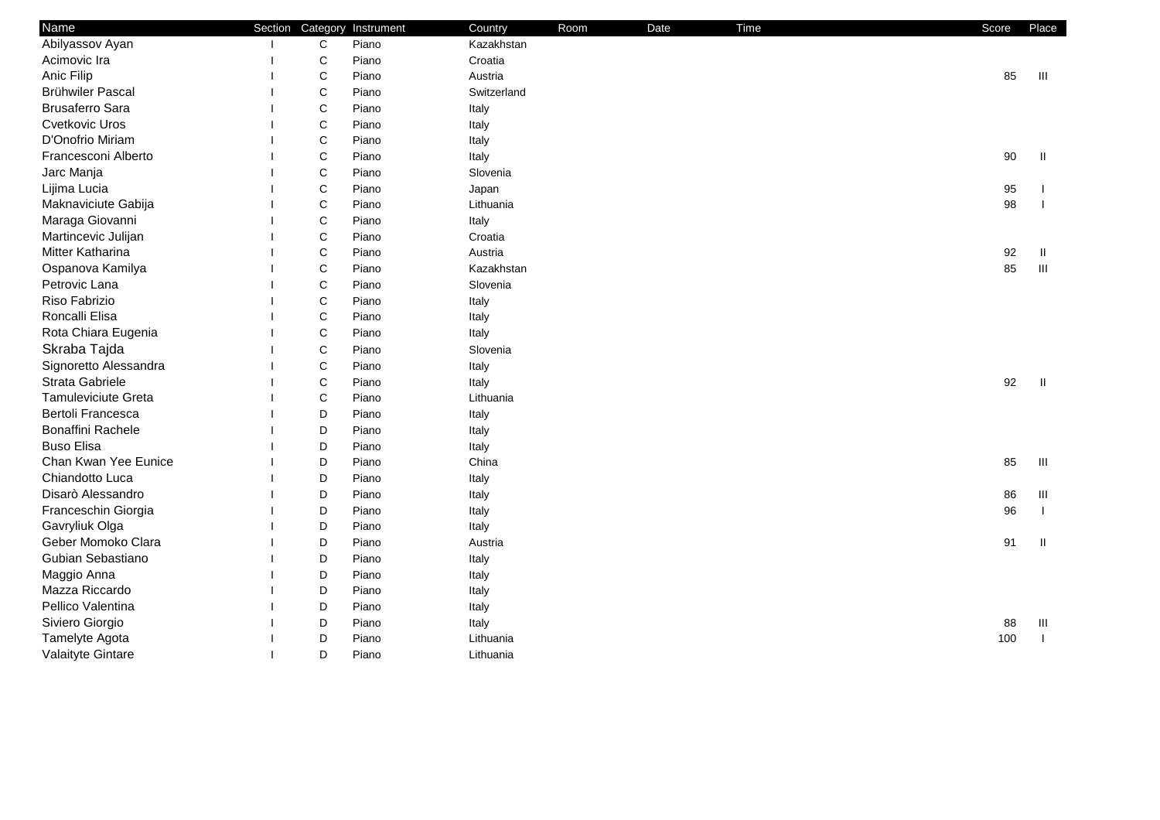| Name                       | Section Category | Instrument | Country     | Room | Date | Time | Score | Place              |
|----------------------------|------------------|------------|-------------|------|------|------|-------|--------------------|
| Abilyassov Ayan            | $\mathbf C$      | Piano      | Kazakhstan  |      |      |      |       |                    |
| Acimovic Ira               | $\mathsf C$      | Piano      | Croatia     |      |      |      |       |                    |
| Anic Filip                 | $\mathsf C$      | Piano      | Austria     |      |      |      | 85    | $\  \cdot \ $      |
| Brühwiler Pascal           | $\mathsf C$      | Piano      | Switzerland |      |      |      |       |                    |
| <b>Brusaferro Sara</b>     | $\mathsf C$      | Piano      | Italy       |      |      |      |       |                    |
| Cvetkovic Uros             | $\mathsf C$      | Piano      | Italy       |      |      |      |       |                    |
| D'Onofrio Miriam           | $\mathsf C$      | Piano      | Italy       |      |      |      |       |                    |
| Francesconi Alberto        | $\mathsf C$      | Piano      | Italy       |      |      |      | 90    | Ш                  |
| Jarc Manja                 | $\mathsf C$      | Piano      | Slovenia    |      |      |      |       |                    |
| Lijima Lucia               | $\mathsf C$      | Piano      | Japan       |      |      |      | 95    |                    |
| Maknaviciute Gabija        | C                | Piano      | Lithuania   |      |      |      | 98    |                    |
| Maraga Giovanni            | $\mathsf C$      | Piano      | Italy       |      |      |      |       |                    |
| Martincevic Julijan        | $\mathsf C$      | Piano      | Croatia     |      |      |      |       |                    |
| Mitter Katharina           | $\mathsf C$      | Piano      | Austria     |      |      |      | 92    | -II.               |
| Ospanova Kamilya           | $\mathsf C$      | Piano      | Kazakhstan  |      |      |      | 85    | $\mathop{\rm III}$ |
| Petrovic Lana              | $\mathbf C$      | Piano      | Slovenia    |      |      |      |       |                    |
| Riso Fabrizio              | C                | Piano      | Italy       |      |      |      |       |                    |
| Roncalli Elisa             | C                | Piano      | Italy       |      |      |      |       |                    |
| Rota Chiara Eugenia        | C                | Piano      | Italy       |      |      |      |       |                    |
| Skraba Tajda               | C                | Piano      | Slovenia    |      |      |      |       |                    |
| Signoretto Alessandra      | C                | Piano      | Italy       |      |      |      |       |                    |
| Strata Gabriele            | C                | Piano      | Italy       |      |      |      | 92    | - II               |
| <b>Tamuleviciute Greta</b> | $\mathsf C$      | Piano      | Lithuania   |      |      |      |       |                    |
| Bertoli Francesca          | D                | Piano      | Italy       |      |      |      |       |                    |
| Bonaffini Rachele          | D                | Piano      | Italy       |      |      |      |       |                    |
| <b>Buso Elisa</b>          | D                | Piano      | Italy       |      |      |      |       |                    |
| Chan Kwan Yee Eunice       | D                | Piano      | China       |      |      |      | 85    | Ш                  |
| Chiandotto Luca            | D                | Piano      | Italy       |      |      |      |       |                    |
| Disarò Alessandro          | D                | Piano      | Italy       |      |      |      | 86    | Ш                  |
| Franceschin Giorgia        | D                | Piano      | Italy       |      |      |      | 96    |                    |
| Gavryliuk Olga             | D                | Piano      | Italy       |      |      |      |       |                    |
| Geber Momoko Clara         | D                | Piano      | Austria     |      |      |      | 91    | Ш                  |
| Gubian Sebastiano          | D                | Piano      | Italy       |      |      |      |       |                    |
| Maggio Anna                | D                | Piano      | Italy       |      |      |      |       |                    |
| Mazza Riccardo             | D                | Piano      | Italy       |      |      |      |       |                    |
| Pellico Valentina          | D                | Piano      | Italy       |      |      |      |       |                    |
| Siviero Giorgio            | D                | Piano      | Italy       |      |      |      | 88    | Ш                  |
| Tamelyte Agota             | D                | Piano      | Lithuania   |      |      |      | 100   | $\blacksquare$     |
| Valaityte Gintare          | D                | Piano      | Lithuania   |      |      |      |       |                    |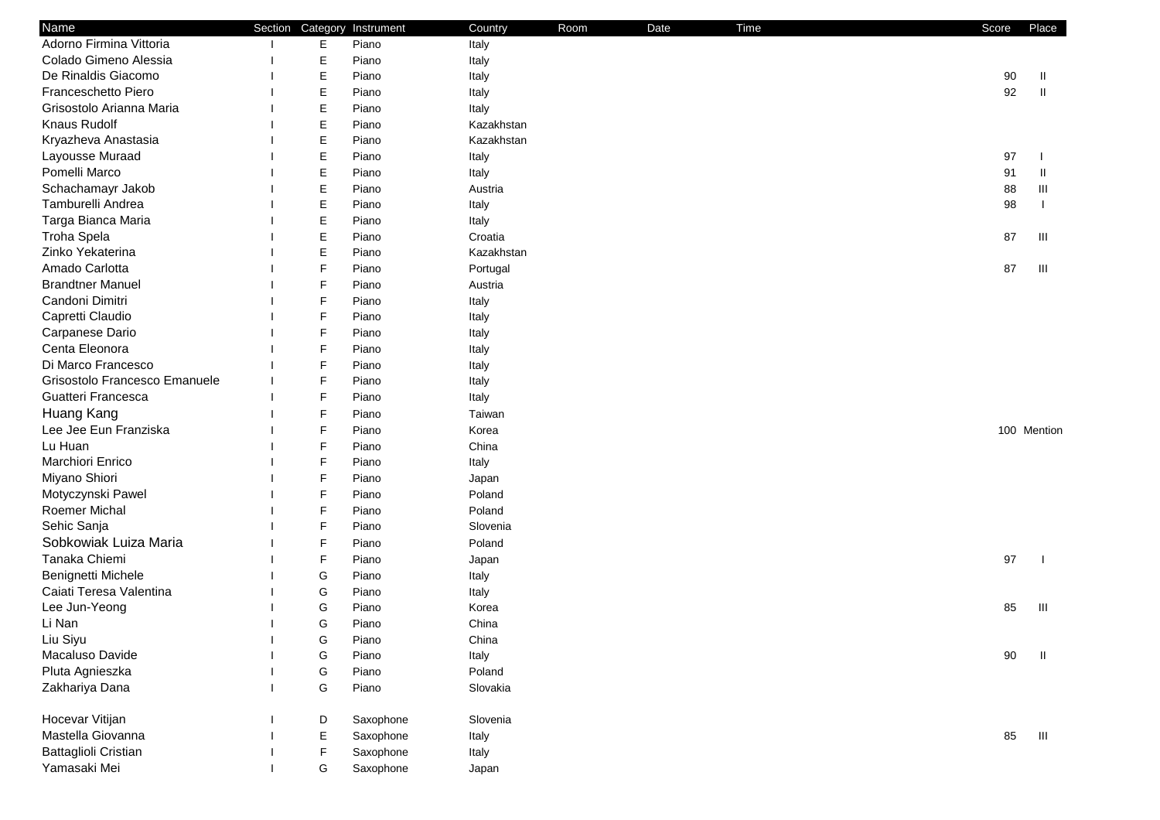| Name                          |             | Section Category Instrument | Country    | Room | Date | Time | Score | Place       |
|-------------------------------|-------------|-----------------------------|------------|------|------|------|-------|-------------|
| Adorno Firmina Vittoria       | Е           | Piano                       | Italy      |      |      |      |       |             |
| Colado Gimeno Alessia         | Е           | Piano                       | Italy      |      |      |      |       |             |
| De Rinaldis Giacomo           | E           | Piano                       | Italy      |      |      |      | 90    | Ш           |
| Franceschetto Piero           | E           | Piano                       | Italy      |      |      |      | 92    | Ш           |
| Grisostolo Arianna Maria      | Е           | Piano                       | Italy      |      |      |      |       |             |
| Knaus Rudolf                  | Е           | Piano                       | Kazakhstan |      |      |      |       |             |
| Kryazheva Anastasia           | $\mathsf E$ | Piano                       | Kazakhstan |      |      |      |       |             |
| Layousse Muraad               | E           | Piano                       | Italy      |      |      |      | 97    |             |
| Pomelli Marco                 | E           | Piano                       | Italy      |      |      |      | 91    | Ш           |
| Schachamayr Jakob             | E           | Piano                       | Austria    |      |      |      | 88    | Ш           |
| Tamburelli Andrea             | E           | Piano                       | Italy      |      |      |      | 98    |             |
| Targa Bianca Maria            | E           | Piano                       | Italy      |      |      |      |       |             |
| Troha Spela                   | Е           | Piano                       | Croatia    |      |      |      | 87    | Ш           |
| Zinko Yekaterina              | Е           | Piano                       | Kazakhstan |      |      |      |       |             |
| Amado Carlotta                | F           | Piano                       | Portugal   |      |      |      | 87    | Ш           |
| <b>Brandtner Manuel</b>       | F           | Piano                       | Austria    |      |      |      |       |             |
| Candoni Dimitri               | F           | Piano                       | Italy      |      |      |      |       |             |
| Capretti Claudio              | F           | Piano                       | Italy      |      |      |      |       |             |
| Carpanese Dario               | F           | Piano                       | Italy      |      |      |      |       |             |
| Centa Eleonora                | F           | Piano                       | Italy      |      |      |      |       |             |
| Di Marco Francesco            | F           | Piano                       | Italy      |      |      |      |       |             |
| Grisostolo Francesco Emanuele | F           | Piano                       | Italy      |      |      |      |       |             |
| Guatteri Francesca            | F           | Piano                       | Italy      |      |      |      |       |             |
| Huang Kang                    | F           | Piano                       | Taiwan     |      |      |      |       |             |
| Lee Jee Eun Franziska         | F           | Piano                       | Korea      |      |      |      |       | 100 Mention |
| Lu Huan                       | F           | Piano                       | China      |      |      |      |       |             |
| Marchiori Enrico              | F           | Piano                       | Italy      |      |      |      |       |             |
| Miyano Shiori                 | $\mathsf F$ | Piano                       | Japan      |      |      |      |       |             |
| Motyczynski Pawel             | F           | Piano                       | Poland     |      |      |      |       |             |
| Roemer Michal                 | F           | Piano                       | Poland     |      |      |      |       |             |
| Sehic Sanja                   | F           | Piano                       | Slovenia   |      |      |      |       |             |
| Sobkowiak Luiza Maria         | F           | Piano                       | Poland     |      |      |      |       |             |
| Tanaka Chiemi                 | F           | Piano                       | Japan      |      |      |      | 97    |             |
| Benignetti Michele            | G           | Piano                       | Italy      |      |      |      |       |             |
| Caiati Teresa Valentina       | G           | Piano                       | Italy      |      |      |      |       |             |
| Lee Jun-Yeong                 | G           | Piano                       | Korea      |      |      |      | 85    | Ш           |
| Li Nan                        | G           | Piano                       | China      |      |      |      |       |             |
| Liu Siyu                      | G           | Piano                       | China      |      |      |      |       |             |
| Macaluso Davide               | G           | Piano                       | Italy      |      |      |      | 90    | Ш           |
| Pluta Agnieszka               | G           | Piano                       | Poland     |      |      |      |       |             |
| Zakhariya Dana                | G           | Piano                       | Slovakia   |      |      |      |       |             |
| Hocevar Vitijan               | D           | Saxophone                   | Slovenia   |      |      |      |       |             |
| Mastella Giovanna             | Е           | Saxophone                   | Italy      |      |      |      | 85    | Ш           |
| Battaglioli Cristian          | F           | Saxophone                   | Italy      |      |      |      |       |             |
| Yamasaki Mei                  | G           | Saxophone                   | Japan      |      |      |      |       |             |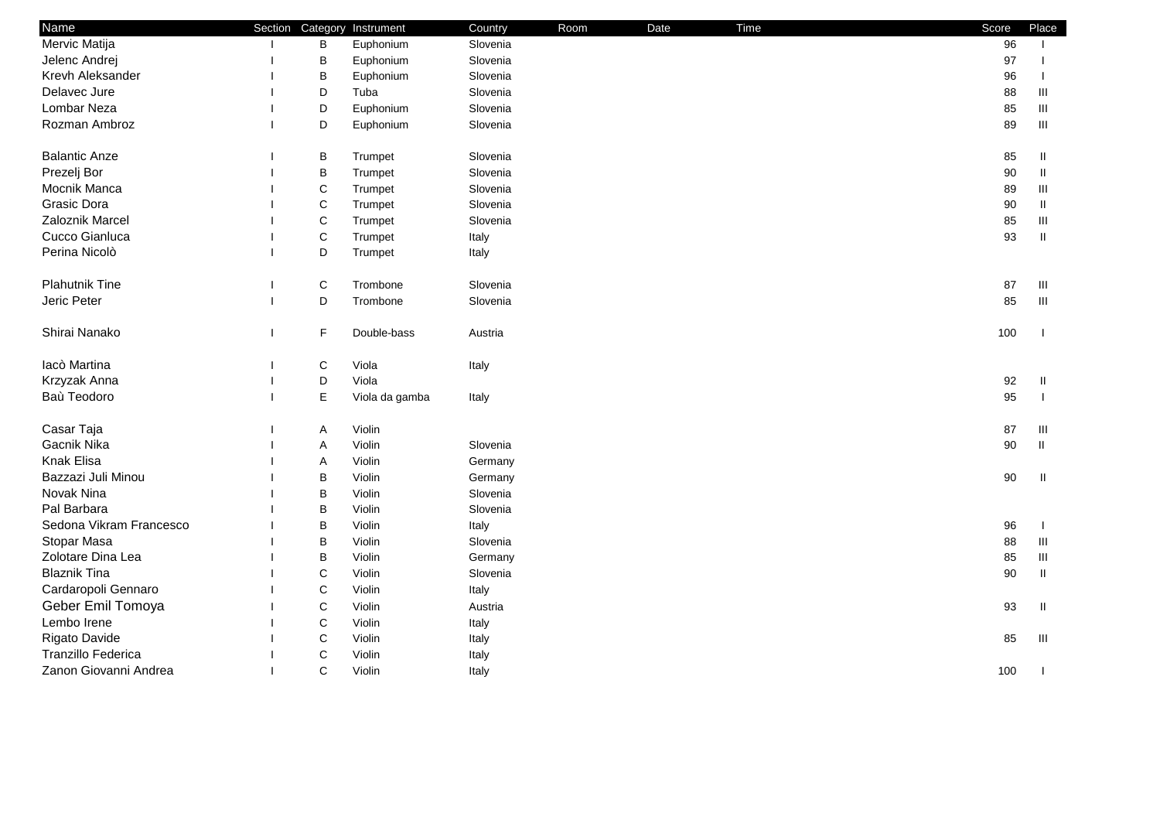| Name                    |              |              | Section Category Instrument | Country  | Room | Date | Time | Score | Place    |
|-------------------------|--------------|--------------|-----------------------------|----------|------|------|------|-------|----------|
| Mervic Matija           |              | B            | Euphonium                   | Slovenia |      |      |      | 96    |          |
| Jelenc Andrej           |              | B            | Euphonium                   | Slovenia |      |      |      | 97    |          |
| Krevh Aleksander        |              | B            | Euphonium                   | Slovenia |      |      |      | 96    |          |
| Delavec Jure            |              | D            | Tuba                        | Slovenia |      |      |      | 88    | Ш        |
| Lombar Neza             |              | D            | Euphonium                   | Slovenia |      |      |      | 85    | Ш        |
| Rozman Ambroz           |              | D            | Euphonium                   | Slovenia |      |      |      | 89    | Ш        |
| <b>Balantic Anze</b>    |              | B            | Trumpet                     | Slovenia |      |      |      | 85    | Ш        |
| Prezelj Bor             |              | $\mathsf B$  | Trumpet                     | Slovenia |      |      |      | 90    | $\rm H$  |
| Mocnik Manca            |              | $\mathsf{C}$ | Trumpet                     | Slovenia |      |      |      | 89    | Ш        |
| Grasic Dora             |              | $\mathsf{C}$ | Trumpet                     | Slovenia |      |      |      | 90    | Ш.       |
| Zaloznik Marcel         |              | $\mathsf{C}$ | Trumpet                     | Slovenia |      |      |      | 85    | Ш        |
| Cucco Gianluca          |              | $\mathsf{C}$ | Trumpet                     | Italy    |      |      |      | 93    | $\rm H$  |
| Perina Nicolò           |              | D            | Trumpet                     | Italy    |      |      |      |       |          |
| Plahutnik Tine          |              | $\mathsf C$  | Trombone                    | Slovenia |      |      |      | 87    | $\,$ III |
| Jeric Peter             |              | D            | Trombone                    | Slovenia |      |      |      | 85    | $\,$ III |
| Shirai Nanako           | $\mathbf{I}$ | F            | Double-bass                 | Austria  |      |      |      | 100   |          |
| lacò Martina            |              | $\mathsf C$  | Viola                       | Italy    |      |      |      |       |          |
| Krzyzak Anna            |              | D            | Viola                       |          |      |      |      | 92    | Ш        |
| Baù Teodoro             |              | $\mathsf E$  | Viola da gamba              | Italy    |      |      |      | 95    |          |
| Casar Taja              |              | Α            | Violin                      |          |      |      |      | 87    | $\,$ III |
| Gacnik Nika             |              | Α            | Violin                      | Slovenia |      |      |      | 90    | $\,$ II  |
| Knak Elisa              |              | A            | Violin                      | Germany  |      |      |      |       |          |
| Bazzazi Juli Minou      |              | B            | Violin                      | Germany  |      |      |      | 90    | Ш        |
| Novak Nina              |              | B            | Violin                      | Slovenia |      |      |      |       |          |
| Pal Barbara             |              | B            | Violin                      | Slovenia |      |      |      |       |          |
| Sedona Vikram Francesco |              | $\sf B$      | Violin                      | Italy    |      |      |      | 96    |          |
| Stopar Masa             |              | $\mathsf B$  | Violin                      | Slovenia |      |      |      | 88    | Ш        |
| Zolotare Dina Lea       |              | $\sf B$      | Violin                      | Germany  |      |      |      | 85    | Ш        |
| <b>Blaznik Tina</b>     |              | $\mathsf{C}$ | Violin                      | Slovenia |      |      |      | 90    | Ш.       |
| Cardaropoli Gennaro     |              | $\mathsf{C}$ | Violin                      | Italy    |      |      |      |       |          |
| Geber Emil Tomoya       |              | $\mathsf{C}$ | Violin                      | Austria  |      |      |      | 93    | Ш.       |
| Lembo Irene             |              | $\mathsf{C}$ | Violin                      | Italy    |      |      |      |       |          |
| Rigato Davide           |              | $\mathsf{C}$ | Violin                      | Italy    |      |      |      | 85    | $\,$ III |
| Tranzillo Federica      |              | $\mathsf{C}$ | Violin                      | Italy    |      |      |      |       |          |
| Zanon Giovanni Andrea   |              | C            | Violin                      | Italy    |      |      |      | 100   |          |
|                         |              |              |                             |          |      |      |      |       |          |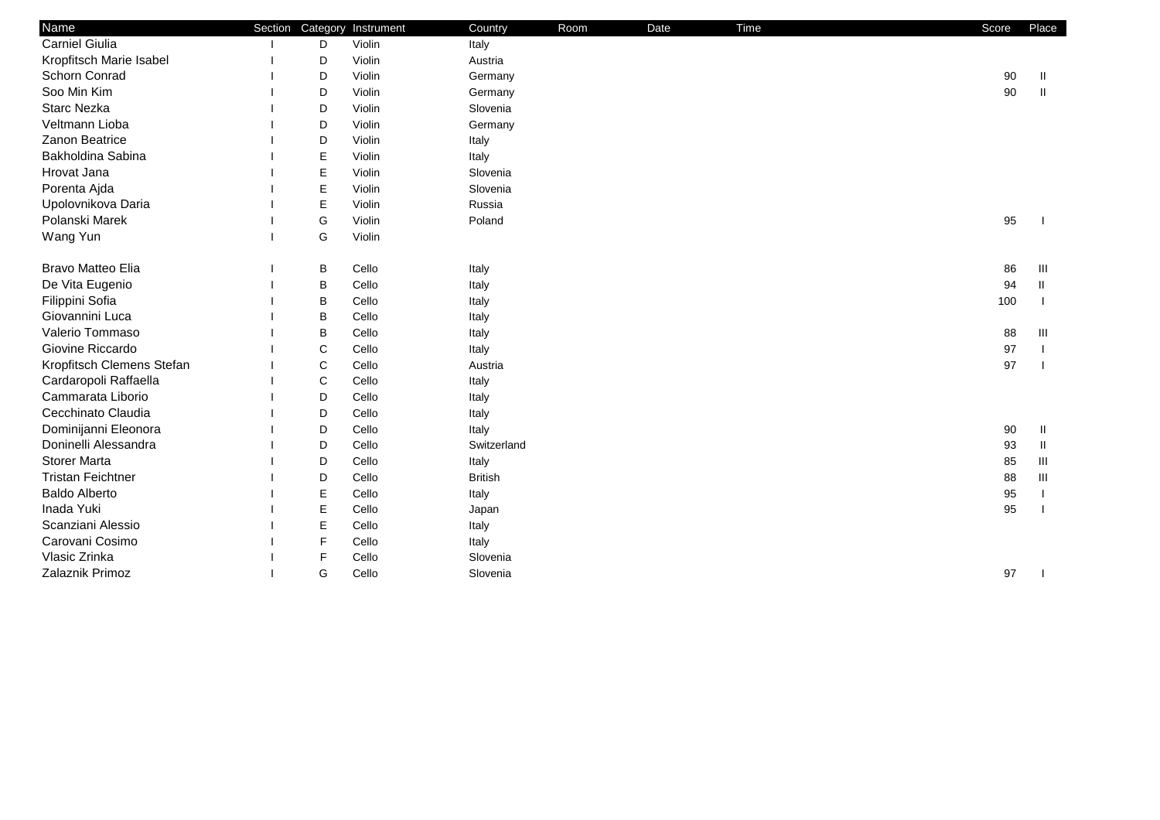| Name                      |             | Section Category Instrument | Country        | Room | Date | Time | Score | Place |
|---------------------------|-------------|-----------------------------|----------------|------|------|------|-------|-------|
| <b>Carniel Giulia</b>     | D           | Violin                      | Italy          |      |      |      |       |       |
| Kropfitsch Marie Isabel   | D           | Violin                      | Austria        |      |      |      |       |       |
| Schorn Conrad             | D           | Violin                      | Germany        |      |      |      | 90    | Ш     |
| Soo Min Kim               | D           | Violin                      | Germany        |      |      |      | 90    | Ш     |
| <b>Starc Nezka</b>        | D           | Violin                      | Slovenia       |      |      |      |       |       |
| Veltmann Lioba            | D           | Violin                      | Germany        |      |      |      |       |       |
| Zanon Beatrice            | D           | Violin                      | Italy          |      |      |      |       |       |
| Bakholdina Sabina         | $\mathsf E$ | Violin                      | Italy          |      |      |      |       |       |
| Hrovat Jana               | $\mathsf E$ | Violin                      | Slovenia       |      |      |      |       |       |
| Porenta Ajda              | $\mathsf E$ | Violin                      | Slovenia       |      |      |      |       |       |
| Upolovnikova Daria        | E           | Violin                      | Russia         |      |      |      |       |       |
| Polanski Marek            | G           | Violin                      | Poland         |      |      |      | 95    |       |
| Wang Yun                  | G           | Violin                      |                |      |      |      |       |       |
| Bravo Matteo Elia         | B           | Cello                       | Italy          |      |      |      | 86    | Ш     |
| De Vita Eugenio           | B           | Cello                       | Italy          |      |      |      | 94    | Ш     |
| Filippini Sofia           | B           | Cello                       | Italy          |      |      |      | 100   |       |
| Giovannini Luca           | B           | Cello                       | Italy          |      |      |      |       |       |
| Valerio Tommaso           | B           | Cello                       | Italy          |      |      |      | 88    | Ш     |
| Giovine Riccardo          | C           | Cello                       | Italy          |      |      |      | 97    |       |
| Kropfitsch Clemens Stefan | $\mathsf C$ | Cello                       | Austria        |      |      |      | 97    |       |
| Cardaropoli Raffaella     | C           | Cello                       | Italy          |      |      |      |       |       |
| Cammarata Liborio         | D           | Cello                       | Italy          |      |      |      |       |       |
| Cecchinato Claudia        | D           | Cello                       | Italy          |      |      |      |       |       |
| Dominijanni Eleonora      | D           | Cello                       | Italy          |      |      |      | 90    | Ш     |
| Doninelli Alessandra      | D           | Cello                       | Switzerland    |      |      |      | 93    | Ш     |
| <b>Storer Marta</b>       | D           | Cello                       | Italy          |      |      |      | 85    | Ш     |
| <b>Tristan Feichtner</b>  | D           | Cello                       | <b>British</b> |      |      |      | 88    | Ш     |
| <b>Baldo Alberto</b>      | $\mathsf E$ | Cello                       | Italy          |      |      |      | 95    |       |
| Inada Yuki                | $\mathsf E$ | Cello                       | Japan          |      |      |      | 95    |       |
| Scanziani Alessio         | E           | Cello                       | Italy          |      |      |      |       |       |
| Carovani Cosimo           | F           | Cello                       | Italy          |      |      |      |       |       |
| Vlasic Zrinka             | F           | Cello                       | Slovenia       |      |      |      |       |       |
| Zalaznik Primoz           | G           | Cello                       | Slovenia       |      |      |      | 97    |       |
|                           |             |                             |                |      |      |      |       |       |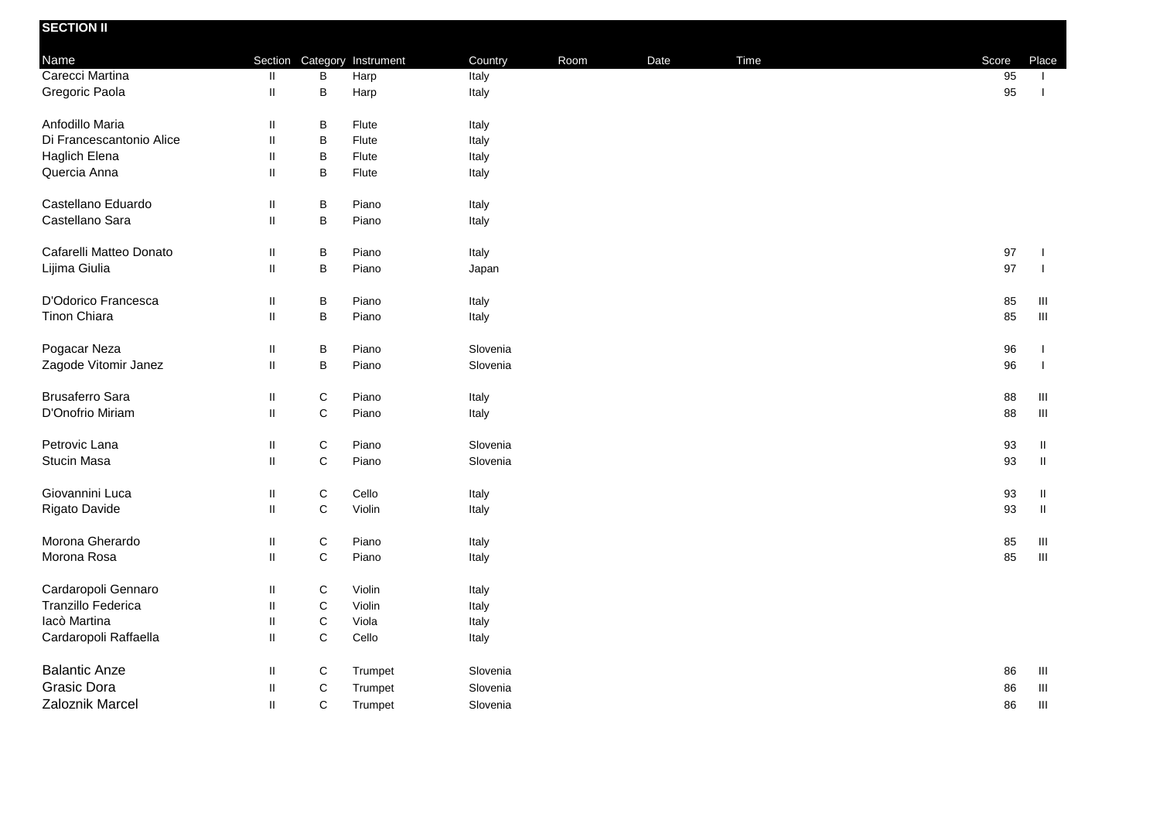| <b>SECTION II</b>        |               |                  |            |          |      |      |      |       |                                    |
|--------------------------|---------------|------------------|------------|----------|------|------|------|-------|------------------------------------|
| Name                     |               | Section Category | Instrument | Country  | Room | Date | Time | Score | Place                              |
| Carecci Martina          | $\mathbf{II}$ | B                | Harp       | Italy    |      |      |      | 95    | $\mathbf{L}$                       |
| Gregoric Paola           | $\mathbf{II}$ | B                | Harp       | Italy    |      |      |      | 95    | $\mathbf{I}$                       |
| Anfodillo Maria          | $\mathsf{I}$  | B                | Flute      | Italy    |      |      |      |       |                                    |
| Di Francescantonio Alice | $\mathbf{II}$ | B                | Flute      | Italy    |      |      |      |       |                                    |
| Haglich Elena            | $\mathsf{I}$  | B                | Flute      | Italy    |      |      |      |       |                                    |
| Quercia Anna             | $\sf II$      | $\sf B$          | Flute      | Italy    |      |      |      |       |                                    |
| Castellano Eduardo       | $\sf II$      | B                | Piano      | Italy    |      |      |      |       |                                    |
| Castellano Sara          | $\mathbf{H}$  | B                | Piano      | Italy    |      |      |      |       |                                    |
| Cafarelli Matteo Donato  | Ш             | B                | Piano      | Italy    |      |      |      | 97    | $\mathbf{I}$                       |
| Lijima Giulia            | $\mathbf{II}$ | B                | Piano      | Japan    |      |      |      | 97    | $\mathbf{I}$                       |
| D'Odorico Francesca      | $\sf II$      | B                | Piano      | Italy    |      |      |      | 85    | Ш                                  |
| Tinon Chiara             | $\sf II$      | $\sf B$          | Piano      | Italy    |      |      |      | 85    | $\,$ III                           |
| Pogacar Neza             | Ш             | B                | Piano      | Slovenia |      |      |      | 96    | $\mathbf{I}$                       |
| Zagode Vitomir Janez     | $\sf II$      | B                | Piano      | Slovenia |      |      |      | 96    | $\overline{1}$                     |
| <b>Brusaferro Sara</b>   | Ш             | $\mathsf C$      | Piano      | Italy    |      |      |      | 88    | $\ensuremath{\mathsf{III}}\xspace$ |
| D'Onofrio Miriam         | $\mathbf{II}$ | $\mathbf C$      | Piano      | Italy    |      |      |      | 88    | $\,$ III                           |
| Petrovic Lana            | $\sf II$      | C                | Piano      | Slovenia |      |      |      | 93    | $\rm H$                            |
| Stucin Masa              | $\mathbf{II}$ | $\mathsf C$      | Piano      | Slovenia |      |      |      | 93    | $\,$ II                            |
| Giovannini Luca          | $\sf II$      | $\mathsf C$      | Cello      | Italy    |      |      |      | 93    | $\, \, \mathrm{II} \,$             |
| Rigato Davide            | $\sf II$      | C                | Violin     | Italy    |      |      |      | 93    | $\,$ II                            |
| Morona Gherardo          | Ш             | C                | Piano      | Italy    |      |      |      | 85    | Ш                                  |
| Morona Rosa              | $\sf II$      | $\mathbf C$      | Piano      | Italy    |      |      |      | 85    | $\,$ III                           |
| Cardaropoli Gennaro      | $\mathbf{II}$ | $\mathsf C$      | Violin     | Italy    |      |      |      |       |                                    |
| Tranzillo Federica       | $\sf II$      | $\mathsf C$      | Violin     | Italy    |      |      |      |       |                                    |
| lacò Martina             | $\mathbf{II}$ | $\mathbf C$      | Viola      | Italy    |      |      |      |       |                                    |
| Cardaropoli Raffaella    | $\mathbf{II}$ | $\mathsf C$      | Cello      | Italy    |      |      |      |       |                                    |
| <b>Balantic Anze</b>     | Ш             | C                | Trumpet    | Slovenia |      |      |      | 86    | Ш                                  |
| Grasic Dora              | $\sf II$      | $\mathsf C$      | Trumpet    | Slovenia |      |      |      | 86    | $\ensuremath{\mathsf{III}}\xspace$ |
| Zaloznik Marcel          | $\mathbf{H}$  | $\mathsf C$      | Trumpet    | Slovenia |      |      |      | 86    | $\ensuremath{\mathsf{III}}\xspace$ |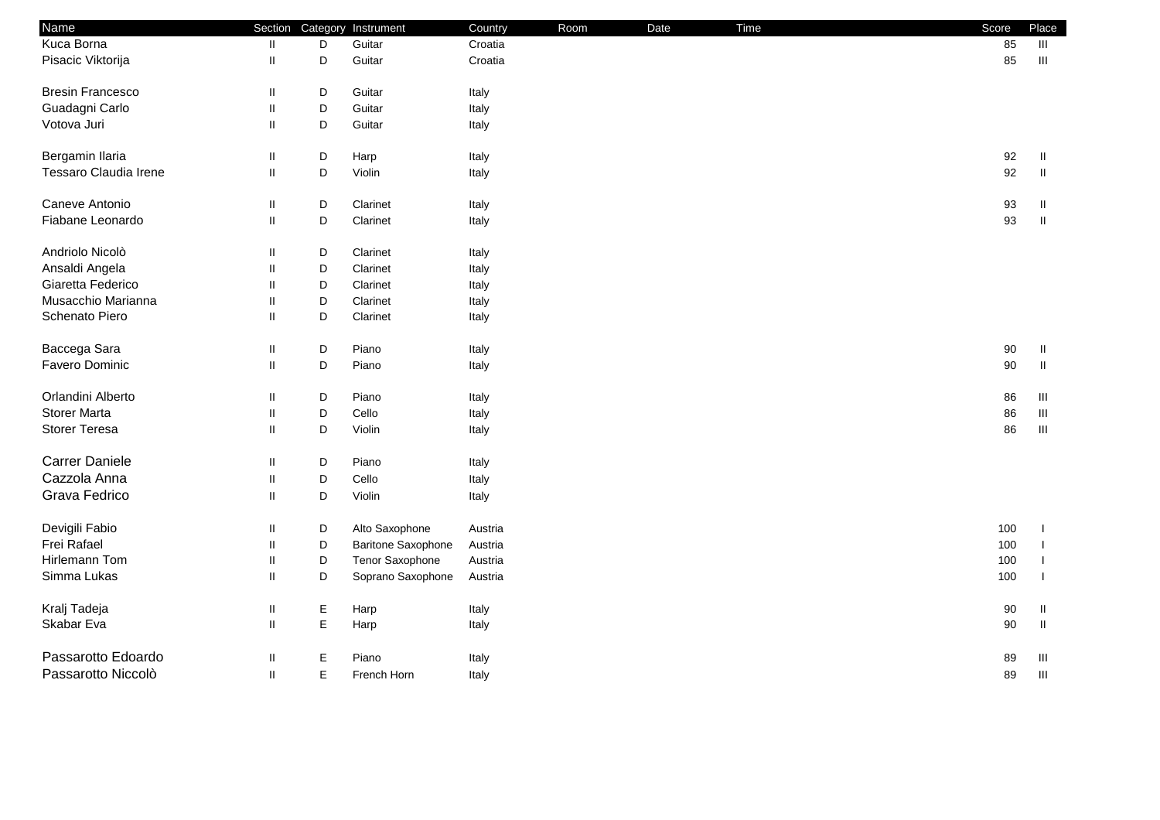| Kuca Borna<br>85<br>D<br>Guitar<br>Croatia<br>Ш<br>Ш<br>Pisacic Viktorija<br>D<br>Guitar<br>Croatia<br>85<br>$\ensuremath{\mathsf{III}}\xspace$<br>Ш<br><b>Bresin Francesco</b><br>D<br>Guitar<br>Italy<br>Ш<br>D<br>Guadagni Carlo<br>Ш<br>Guitar<br>Italy<br>Votova Juri<br>D<br>Ш<br>Guitar<br>Italy<br>Bergamin Ilaria<br>D<br>92<br>Ш<br>Harp<br>Italy<br>Ш<br>Tessaro Claudia Irene<br>D<br>92<br>$\ensuremath{\mathsf{II}}$<br>Violin<br>Ш<br>Italy<br>Caneve Antonio<br>D<br>Ш<br>Clarinet<br>Italy<br>93<br>Ш<br>Fiabane Leonardo<br>D<br>$\,$ II<br>$\mathbf{II}$<br>Clarinet<br>93<br>Italy<br>Andriolo Nicolò<br>D<br>Clarinet<br>Ш<br>Italy<br>Ansaldi Angela<br>D<br>$\mathbf{I}$<br>Clarinet<br>Italy<br>Giaretta Federico<br>D<br>$\mathbf{I}$<br>Clarinet<br>Italy<br>Musacchio Marianna<br>D<br>Clarinet<br>Ш<br>Italy<br>Schenato Piero<br>D<br>$\mathbf{II}$<br>Clarinet<br>Italy<br>Baccega Sara<br>D<br>Piano<br>Italy<br>$90\,$<br>Ш<br>Ш<br>Favero Dominic<br>D<br>$\,$ II<br>$\mathbf{II}$<br>90<br>Piano<br>Italy<br>Orlandini Alberto<br>D<br>Ш<br>Piano<br>86<br>Italy<br>Ш<br><b>Storer Marta</b><br>D<br>Cello<br>Ш<br>Italy<br>86<br>Ш<br><b>Storer Teresa</b><br>D<br>$\ensuremath{\mathsf{III}}\xspace$<br>$\mathbf{II}$<br>Violin<br>86<br>Italy<br><b>Carrer Daniele</b><br>D<br>Piano<br>Italy<br>Ш<br>Cazzola Anna<br>D<br>Cello<br>$\mathbf{I}$<br>Italy<br>Grava Fedrico<br>D<br>$\sf II$<br>Violin<br>Italy<br>Devigili Fabio<br>D<br>Alto Saxophone<br>100<br>Ш<br>Austria<br>Frei Rafael<br>D<br><b>Baritone Saxophone</b><br>100<br>$\mathbf{I}$<br>Austria<br>Hirlemann Tom<br>D<br>Tenor Saxophone<br>100<br>Ш<br>Austria<br>Simma Lukas<br>D<br>Soprano Saxophone<br>Ш<br>100<br>Austria<br>Kralj Tadeja<br>Ε<br>Ш<br>Harp<br>Italy<br>90<br>Ш<br>E<br>Skabar Eva<br>$\ensuremath{\mathsf{II}}$<br>$\sf II$<br>$90\,$<br>Harp<br>Italy<br>Passarotto Edoardo<br>Е<br>Piano<br>Ш<br>Ш<br>89 | Name | Section | Category Instrument | Country | Room | Date | Time | Score | Place |
|------------------------------------------------------------------------------------------------------------------------------------------------------------------------------------------------------------------------------------------------------------------------------------------------------------------------------------------------------------------------------------------------------------------------------------------------------------------------------------------------------------------------------------------------------------------------------------------------------------------------------------------------------------------------------------------------------------------------------------------------------------------------------------------------------------------------------------------------------------------------------------------------------------------------------------------------------------------------------------------------------------------------------------------------------------------------------------------------------------------------------------------------------------------------------------------------------------------------------------------------------------------------------------------------------------------------------------------------------------------------------------------------------------------------------------------------------------------------------------------------------------------------------------------------------------------------------------------------------------------------------------------------------------------------------------------------------------------------------------------------------------------------------------------------------------------------------------------------------------------------------------------------------------------------------------------|------|---------|---------------------|---------|------|------|------|-------|-------|
|                                                                                                                                                                                                                                                                                                                                                                                                                                                                                                                                                                                                                                                                                                                                                                                                                                                                                                                                                                                                                                                                                                                                                                                                                                                                                                                                                                                                                                                                                                                                                                                                                                                                                                                                                                                                                                                                                                                                          |      |         |                     |         |      |      |      |       |       |
|                                                                                                                                                                                                                                                                                                                                                                                                                                                                                                                                                                                                                                                                                                                                                                                                                                                                                                                                                                                                                                                                                                                                                                                                                                                                                                                                                                                                                                                                                                                                                                                                                                                                                                                                                                                                                                                                                                                                          |      |         |                     |         |      |      |      |       |       |
|                                                                                                                                                                                                                                                                                                                                                                                                                                                                                                                                                                                                                                                                                                                                                                                                                                                                                                                                                                                                                                                                                                                                                                                                                                                                                                                                                                                                                                                                                                                                                                                                                                                                                                                                                                                                                                                                                                                                          |      |         |                     |         |      |      |      |       |       |
|                                                                                                                                                                                                                                                                                                                                                                                                                                                                                                                                                                                                                                                                                                                                                                                                                                                                                                                                                                                                                                                                                                                                                                                                                                                                                                                                                                                                                                                                                                                                                                                                                                                                                                                                                                                                                                                                                                                                          |      |         |                     |         |      |      |      |       |       |
|                                                                                                                                                                                                                                                                                                                                                                                                                                                                                                                                                                                                                                                                                                                                                                                                                                                                                                                                                                                                                                                                                                                                                                                                                                                                                                                                                                                                                                                                                                                                                                                                                                                                                                                                                                                                                                                                                                                                          |      |         |                     |         |      |      |      |       |       |
|                                                                                                                                                                                                                                                                                                                                                                                                                                                                                                                                                                                                                                                                                                                                                                                                                                                                                                                                                                                                                                                                                                                                                                                                                                                                                                                                                                                                                                                                                                                                                                                                                                                                                                                                                                                                                                                                                                                                          |      |         |                     |         |      |      |      |       |       |
|                                                                                                                                                                                                                                                                                                                                                                                                                                                                                                                                                                                                                                                                                                                                                                                                                                                                                                                                                                                                                                                                                                                                                                                                                                                                                                                                                                                                                                                                                                                                                                                                                                                                                                                                                                                                                                                                                                                                          |      |         |                     |         |      |      |      |       |       |
|                                                                                                                                                                                                                                                                                                                                                                                                                                                                                                                                                                                                                                                                                                                                                                                                                                                                                                                                                                                                                                                                                                                                                                                                                                                                                                                                                                                                                                                                                                                                                                                                                                                                                                                                                                                                                                                                                                                                          |      |         |                     |         |      |      |      |       |       |
|                                                                                                                                                                                                                                                                                                                                                                                                                                                                                                                                                                                                                                                                                                                                                                                                                                                                                                                                                                                                                                                                                                                                                                                                                                                                                                                                                                                                                                                                                                                                                                                                                                                                                                                                                                                                                                                                                                                                          |      |         |                     |         |      |      |      |       |       |
|                                                                                                                                                                                                                                                                                                                                                                                                                                                                                                                                                                                                                                                                                                                                                                                                                                                                                                                                                                                                                                                                                                                                                                                                                                                                                                                                                                                                                                                                                                                                                                                                                                                                                                                                                                                                                                                                                                                                          |      |         |                     |         |      |      |      |       |       |
|                                                                                                                                                                                                                                                                                                                                                                                                                                                                                                                                                                                                                                                                                                                                                                                                                                                                                                                                                                                                                                                                                                                                                                                                                                                                                                                                                                                                                                                                                                                                                                                                                                                                                                                                                                                                                                                                                                                                          |      |         |                     |         |      |      |      |       |       |
|                                                                                                                                                                                                                                                                                                                                                                                                                                                                                                                                                                                                                                                                                                                                                                                                                                                                                                                                                                                                                                                                                                                                                                                                                                                                                                                                                                                                                                                                                                                                                                                                                                                                                                                                                                                                                                                                                                                                          |      |         |                     |         |      |      |      |       |       |
|                                                                                                                                                                                                                                                                                                                                                                                                                                                                                                                                                                                                                                                                                                                                                                                                                                                                                                                                                                                                                                                                                                                                                                                                                                                                                                                                                                                                                                                                                                                                                                                                                                                                                                                                                                                                                                                                                                                                          |      |         |                     |         |      |      |      |       |       |
|                                                                                                                                                                                                                                                                                                                                                                                                                                                                                                                                                                                                                                                                                                                                                                                                                                                                                                                                                                                                                                                                                                                                                                                                                                                                                                                                                                                                                                                                                                                                                                                                                                                                                                                                                                                                                                                                                                                                          |      |         |                     |         |      |      |      |       |       |
|                                                                                                                                                                                                                                                                                                                                                                                                                                                                                                                                                                                                                                                                                                                                                                                                                                                                                                                                                                                                                                                                                                                                                                                                                                                                                                                                                                                                                                                                                                                                                                                                                                                                                                                                                                                                                                                                                                                                          |      |         |                     |         |      |      |      |       |       |
|                                                                                                                                                                                                                                                                                                                                                                                                                                                                                                                                                                                                                                                                                                                                                                                                                                                                                                                                                                                                                                                                                                                                                                                                                                                                                                                                                                                                                                                                                                                                                                                                                                                                                                                                                                                                                                                                                                                                          |      |         |                     |         |      |      |      |       |       |
|                                                                                                                                                                                                                                                                                                                                                                                                                                                                                                                                                                                                                                                                                                                                                                                                                                                                                                                                                                                                                                                                                                                                                                                                                                                                                                                                                                                                                                                                                                                                                                                                                                                                                                                                                                                                                                                                                                                                          |      |         |                     |         |      |      |      |       |       |
|                                                                                                                                                                                                                                                                                                                                                                                                                                                                                                                                                                                                                                                                                                                                                                                                                                                                                                                                                                                                                                                                                                                                                                                                                                                                                                                                                                                                                                                                                                                                                                                                                                                                                                                                                                                                                                                                                                                                          |      |         |                     |         |      |      |      |       |       |
|                                                                                                                                                                                                                                                                                                                                                                                                                                                                                                                                                                                                                                                                                                                                                                                                                                                                                                                                                                                                                                                                                                                                                                                                                                                                                                                                                                                                                                                                                                                                                                                                                                                                                                                                                                                                                                                                                                                                          |      |         |                     |         |      |      |      |       |       |
|                                                                                                                                                                                                                                                                                                                                                                                                                                                                                                                                                                                                                                                                                                                                                                                                                                                                                                                                                                                                                                                                                                                                                                                                                                                                                                                                                                                                                                                                                                                                                                                                                                                                                                                                                                                                                                                                                                                                          |      |         |                     |         |      |      |      |       |       |
|                                                                                                                                                                                                                                                                                                                                                                                                                                                                                                                                                                                                                                                                                                                                                                                                                                                                                                                                                                                                                                                                                                                                                                                                                                                                                                                                                                                                                                                                                                                                                                                                                                                                                                                                                                                                                                                                                                                                          |      |         |                     |         |      |      |      |       |       |
|                                                                                                                                                                                                                                                                                                                                                                                                                                                                                                                                                                                                                                                                                                                                                                                                                                                                                                                                                                                                                                                                                                                                                                                                                                                                                                                                                                                                                                                                                                                                                                                                                                                                                                                                                                                                                                                                                                                                          |      |         |                     |         |      |      |      |       |       |
|                                                                                                                                                                                                                                                                                                                                                                                                                                                                                                                                                                                                                                                                                                                                                                                                                                                                                                                                                                                                                                                                                                                                                                                                                                                                                                                                                                                                                                                                                                                                                                                                                                                                                                                                                                                                                                                                                                                                          |      |         |                     |         |      |      |      |       |       |
|                                                                                                                                                                                                                                                                                                                                                                                                                                                                                                                                                                                                                                                                                                                                                                                                                                                                                                                                                                                                                                                                                                                                                                                                                                                                                                                                                                                                                                                                                                                                                                                                                                                                                                                                                                                                                                                                                                                                          |      |         |                     |         |      |      |      |       |       |
|                                                                                                                                                                                                                                                                                                                                                                                                                                                                                                                                                                                                                                                                                                                                                                                                                                                                                                                                                                                                                                                                                                                                                                                                                                                                                                                                                                                                                                                                                                                                                                                                                                                                                                                                                                                                                                                                                                                                          |      |         |                     |         |      |      |      |       |       |
|                                                                                                                                                                                                                                                                                                                                                                                                                                                                                                                                                                                                                                                                                                                                                                                                                                                                                                                                                                                                                                                                                                                                                                                                                                                                                                                                                                                                                                                                                                                                                                                                                                                                                                                                                                                                                                                                                                                                          |      |         |                     |         |      |      |      |       |       |
|                                                                                                                                                                                                                                                                                                                                                                                                                                                                                                                                                                                                                                                                                                                                                                                                                                                                                                                                                                                                                                                                                                                                                                                                                                                                                                                                                                                                                                                                                                                                                                                                                                                                                                                                                                                                                                                                                                                                          |      |         |                     |         |      |      |      |       |       |
|                                                                                                                                                                                                                                                                                                                                                                                                                                                                                                                                                                                                                                                                                                                                                                                                                                                                                                                                                                                                                                                                                                                                                                                                                                                                                                                                                                                                                                                                                                                                                                                                                                                                                                                                                                                                                                                                                                                                          |      |         |                     |         |      |      |      |       |       |
|                                                                                                                                                                                                                                                                                                                                                                                                                                                                                                                                                                                                                                                                                                                                                                                                                                                                                                                                                                                                                                                                                                                                                                                                                                                                                                                                                                                                                                                                                                                                                                                                                                                                                                                                                                                                                                                                                                                                          |      |         |                     | Italy   |      |      |      |       |       |
| Passarotto Niccolò<br>E<br>$\mathbf{H}$<br>89<br>Ш<br>French Horn<br>Italy                                                                                                                                                                                                                                                                                                                                                                                                                                                                                                                                                                                                                                                                                                                                                                                                                                                                                                                                                                                                                                                                                                                                                                                                                                                                                                                                                                                                                                                                                                                                                                                                                                                                                                                                                                                                                                                               |      |         |                     |         |      |      |      |       |       |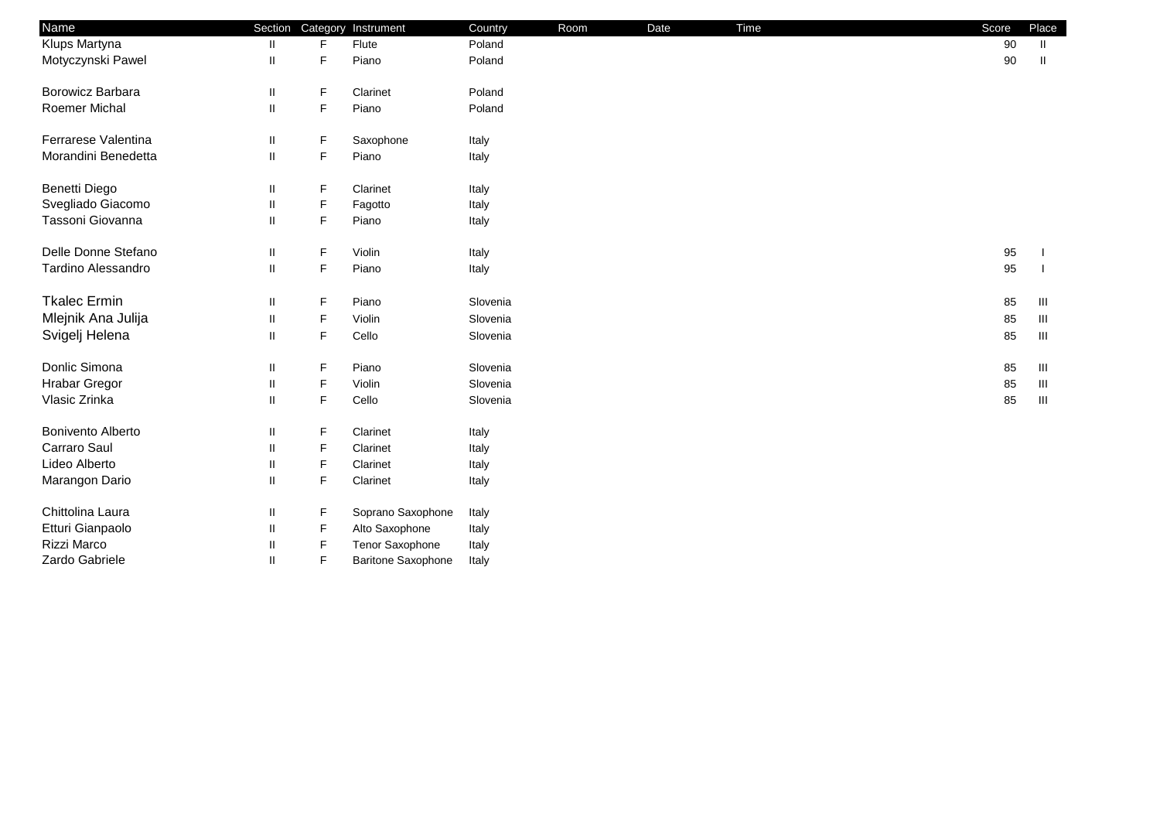| Name                 | Section                    | Category    | Instrument                | Country  | Room | Date | Time | Score | Place |
|----------------------|----------------------------|-------------|---------------------------|----------|------|------|------|-------|-------|
| Klups Martyna        |                            | F           | Flute                     | Poland   |      |      |      | 90    | Ш     |
| Motyczynski Pawel    | Ш                          | F           | Piano                     | Poland   |      |      |      | 90    | Ш     |
| Borowicz Barbara     | Ш                          | F           | Clarinet                  | Poland   |      |      |      |       |       |
| <b>Roemer Michal</b> | $\mathbf{I}$               | F           | Piano                     | Poland   |      |      |      |       |       |
| Ferrarese Valentina  | Ш                          | F           | Saxophone                 | Italy    |      |      |      |       |       |
| Morandini Benedetta  | $\ensuremath{\mathsf{II}}$ | F           | Piano                     | Italy    |      |      |      |       |       |
| Benetti Diego        |                            | F           | Clarinet                  | Italy    |      |      |      |       |       |
| Svegliado Giacomo    |                            | F           | Fagotto                   | Italy    |      |      |      |       |       |
| Tassoni Giovanna     | Ш                          | F           | Piano                     | Italy    |      |      |      |       |       |
| Delle Donne Stefano  | Ш                          | F           | Violin                    | Italy    |      |      |      | 95    |       |
| Tardino Alessandro   | Ш                          | F           | Piano                     | Italy    |      |      |      | 95    |       |
| <b>Tkalec Ermin</b>  | Ш                          | F           | Piano                     | Slovenia |      |      |      | 85    | Ш     |
| Mlejnik Ana Julija   |                            | F           | Violin                    | Slovenia |      |      |      | 85    | Ш     |
| Svigelj Helena       |                            | F           | Cello                     | Slovenia |      |      |      | 85    | Ш     |
| Donlic Simona        | Ш                          | F           | Piano                     | Slovenia |      |      |      | 85    | Ш     |
| <b>Hrabar Gregor</b> | Ш                          | F           | Violin                    | Slovenia |      |      |      | 85    | Ш     |
| Vlasic Zrinka        | Ш                          | $\mathsf F$ | Cello                     | Slovenia |      |      |      | 85    | Ш     |
| Bonivento Alberto    | Ш                          | F           | Clarinet                  | Italy    |      |      |      |       |       |
| Carraro Saul         |                            | F           | Clarinet                  | Italy    |      |      |      |       |       |
| Lideo Alberto        |                            | F           | Clarinet                  | Italy    |      |      |      |       |       |
| Marangon Dario       |                            | F           | Clarinet                  | Italy    |      |      |      |       |       |
| Chittolina Laura     |                            | F           | Soprano Saxophone         | Italy    |      |      |      |       |       |
| Etturi Gianpaolo     |                            | F           | Alto Saxophone            | Italy    |      |      |      |       |       |
| Rizzi Marco          |                            | F           | Tenor Saxophone           | Italy    |      |      |      |       |       |
| Zardo Gabriele       |                            | F           | <b>Baritone Saxophone</b> | Italy    |      |      |      |       |       |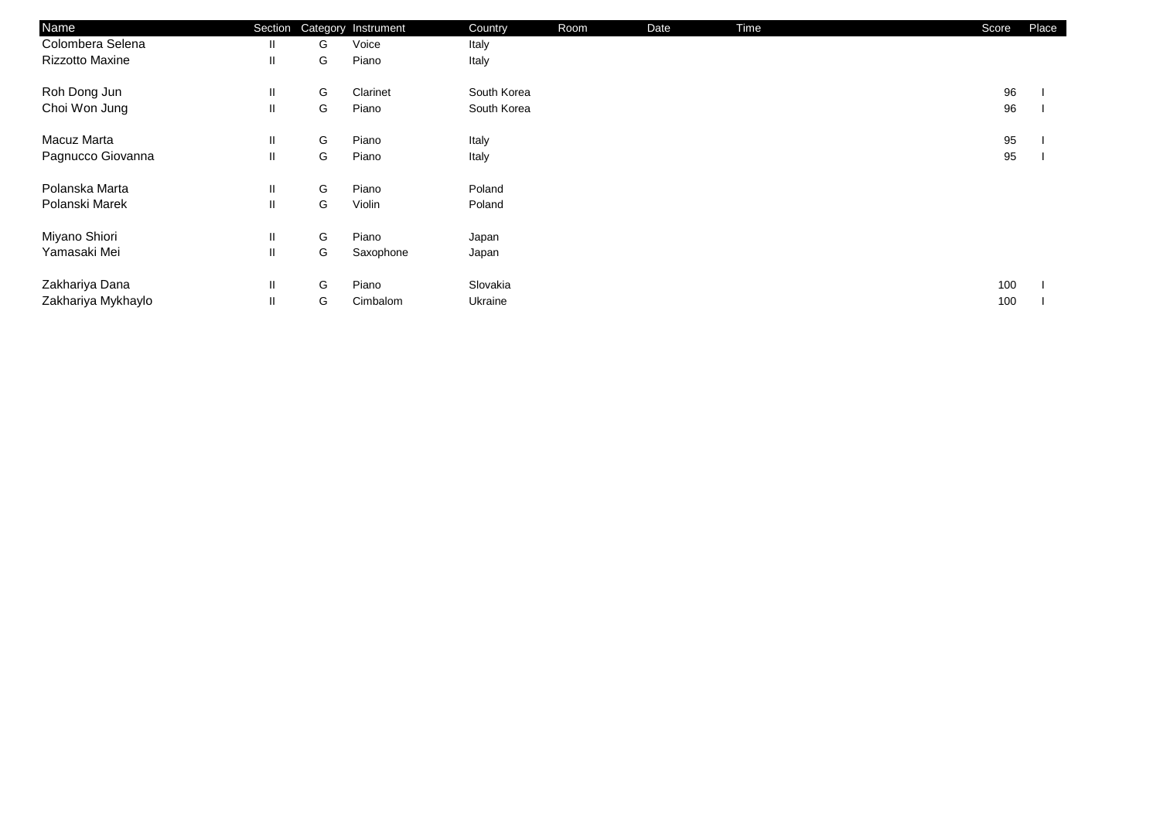| Name                   | Section      |   | Category Instrument | Country     | Room | Date | Time | Score | Place |
|------------------------|--------------|---|---------------------|-------------|------|------|------|-------|-------|
| Colombera Selena       | Ш            | G | Voice               | Italy       |      |      |      |       |       |
| <b>Rizzotto Maxine</b> | Ш.           | G | Piano               | Italy       |      |      |      |       |       |
| Roh Dong Jun           | Ш.           | G | Clarinet            | South Korea |      |      |      | 96    |       |
| Choi Won Jung          | Ш            | G | Piano               | South Korea |      |      |      | 96    |       |
| Macuz Marta            | Ш            | G | Piano               | Italy       |      |      |      | 95    |       |
| Pagnucco Giovanna      | $\mathbf{H}$ | G | Piano               | Italy       |      |      |      | 95    |       |
| Polanska Marta         | Ш.           | G | Piano               | Poland      |      |      |      |       |       |
| Polanski Marek         | Ш            | G | Violin              | Poland      |      |      |      |       |       |
| Miyano Shiori          | Ш.           | G | Piano               | Japan       |      |      |      |       |       |
| Yamasaki Mei           | Ш            | G | Saxophone           | Japan       |      |      |      |       |       |
| Zakhariya Dana         | Ш            | G | Piano               | Slovakia    |      |      |      | 100   |       |
| Zakhariya Mykhaylo     | Ш.           | G | Cimbalom            | Ukraine     |      |      |      | 100   |       |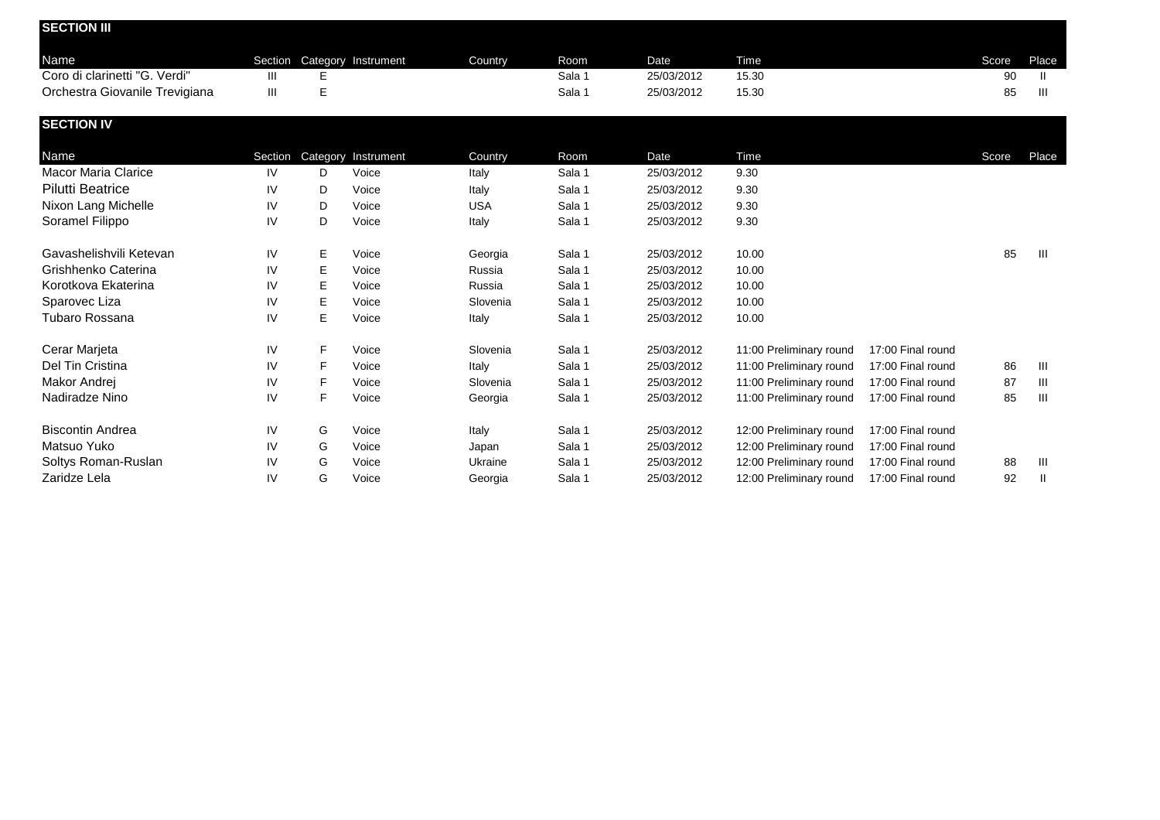| <b>SECTION III</b>             |    |    |                             |         |        |            |       |       |       |
|--------------------------------|----|----|-----------------------------|---------|--------|------------|-------|-------|-------|
| Name                           |    |    | Section Category Instrument | Country | Room   | Date       | Time  | Score | Place |
| Coro di clarinetti "G. Verdi"  | Ш  | E. |                             |         | Sala 1 | 25/03/2012 | 15.30 | 90    | Ш     |
| Orchestra Giovanile Trevigiana | Ш  | E  |                             |         | Sala 1 | 25/03/2012 | 15.30 | 85    | Ш     |
| <b>SECTION IV</b>              |    |    |                             |         |        |            |       |       |       |
| Name                           |    |    | Section Category Instrument | Country | Room   | Date       | Time  | Score | Place |
| Macor Maria Clarice            | IV | D  | Voice                       | Italy   | Sala 1 | 25/03/2012 | 9.30  |       |       |

| <b>Pilutti Beatrice</b> | IV | D  | Voice | Italy      | Sala 1 | 25/03/2012 | 9.30                    |                   |    |       |
|-------------------------|----|----|-------|------------|--------|------------|-------------------------|-------------------|----|-------|
| Nixon Lang Michelle     | IV | D  | Voice | <b>USA</b> | Sala 1 | 25/03/2012 | 9.30                    |                   |    |       |
| Soramel Filippo         | IV | D  | Voice | Italy      | Sala 1 | 25/03/2012 | 9.30                    |                   |    |       |
| Gavashelishvili Ketevan | IV | E. | Voice | Georgia    | Sala 1 | 25/03/2012 | 10.00                   |                   | 85 | - 111 |
| Grishhenko Caterina     | IV | E. | Voice | Russia     | Sala 1 | 25/03/2012 | 10.00                   |                   |    |       |
| Korotkova Ekaterina     | IV | E. | Voice | Russia     | Sala 1 | 25/03/2012 | 10.00                   |                   |    |       |
| Sparovec Liza           | IV | E. | Voice | Slovenia   | Sala 1 | 25/03/2012 | 10.00                   |                   |    |       |
| Tubaro Rossana          | IV | E. | Voice | Italy      | Sala 1 | 25/03/2012 | 10.00                   |                   |    |       |
| Cerar Marjeta           | IV | F. | Voice | Slovenia   | Sala 1 | 25/03/2012 | 11:00 Preliminary round | 17:00 Final round |    |       |
| Del Tin Cristina        | IV | F. | Voice | Italy      | Sala 1 | 25/03/2012 | 11:00 Preliminary round | 17:00 Final round | 86 | Ш     |
| Makor Andrei            | IV | F  | Voice | Slovenia   | Sala 1 | 25/03/2012 | 11:00 Preliminary round | 17:00 Final round | 87 | Ш     |
| Nadiradze Nino          | IV | F. | Voice | Georgia    | Sala 1 | 25/03/2012 | 11:00 Preliminary round | 17:00 Final round | 85 | Ш     |
| <b>Biscontin Andrea</b> | IV | G  | Voice | Italy      | Sala 1 | 25/03/2012 | 12:00 Preliminary round | 17:00 Final round |    |       |
| Matsuo Yuko             | IV | G  | Voice | Japan      | Sala 1 | 25/03/2012 | 12:00 Preliminary round | 17:00 Final round |    |       |
| Soltys Roman-Ruslan     | IV | G  | Voice | Ukraine    | Sala 1 | 25/03/2012 | 12:00 Preliminary round | 17:00 Final round | 88 | Ш     |
| Zaridze Lela            | IV | G  | Voice | Georgia    | Sala 1 | 25/03/2012 | 12:00 Preliminary round | 17:00 Final round | 92 | Ш     |
|                         |    |    |       |            |        |            |                         |                   |    |       |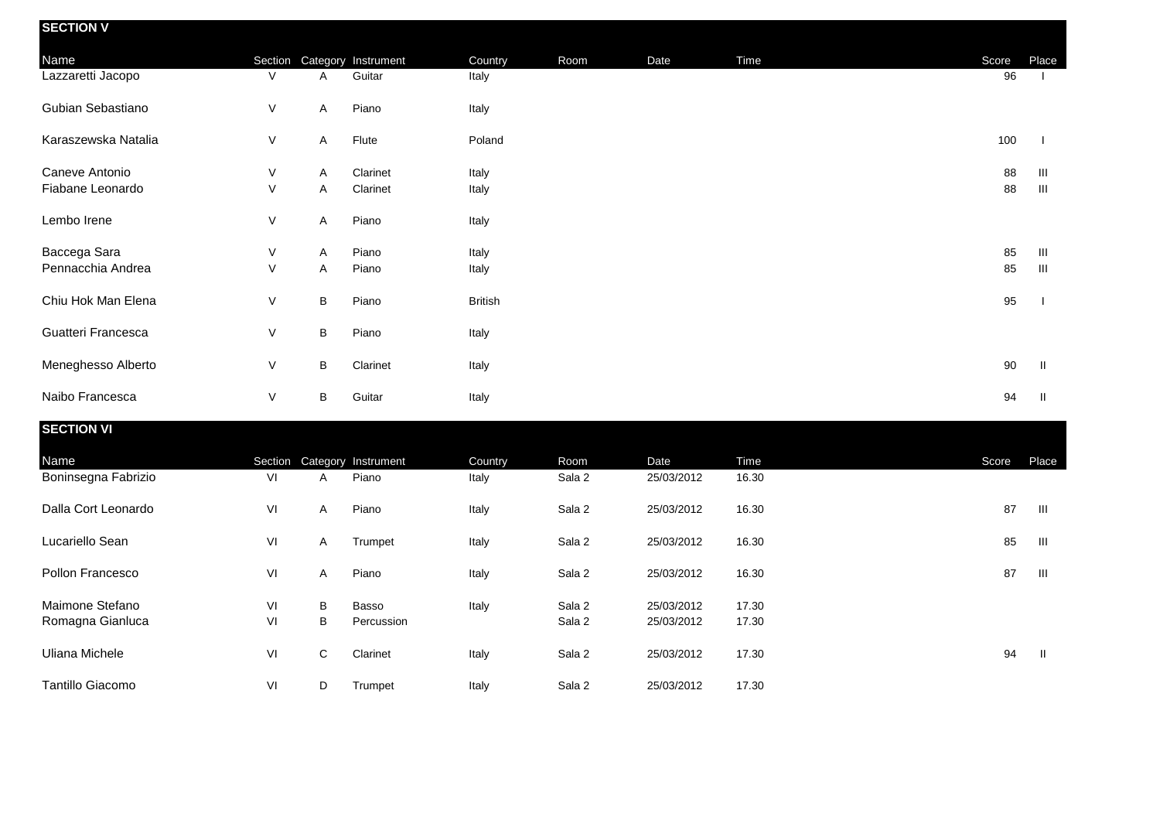| <b>SECTION V</b>    |              |   |                             |                |      |      |      |       |                |
|---------------------|--------------|---|-----------------------------|----------------|------|------|------|-------|----------------|
| Name                |              |   | Section Category Instrument | Country        | Room | Date | Time | Score | Place          |
| Lazzaretti Jacopo   | V            | A | Guitar                      | Italy          |      |      |      | 96    |                |
| Gubian Sebastiano   | V            | A | Piano                       | Italy          |      |      |      |       |                |
| Karaszewska Natalia | V            | A | Flute                       | Poland         |      |      |      | 100   |                |
| Caneve Antonio      | V            | A | Clarinet                    | Italy          |      |      |      | 88    | Ш              |
| Fiabane Leonardo    | V            | Α | Clarinet                    | Italy          |      |      |      | 88    | Ш              |
| Lembo Irene         | V            | A | Piano                       | Italy          |      |      |      |       |                |
| Baccega Sara        | V            | A | Piano                       | Italy          |      |      |      | 85    | Ш              |
| Pennacchia Andrea   | $\mathsf{V}$ | Α | Piano                       | Italy          |      |      |      | 85    | $\mathbf{III}$ |
| Chiu Hok Man Elena  | V            | B | Piano                       | <b>British</b> |      |      |      | 95    |                |
| Guatteri Francesca  | V            | B | Piano                       | Italy          |      |      |      |       |                |
| Meneghesso Alberto  | V            | B | Clarinet                    | Italy          |      |      |      | 90    | H              |
| Naibo Francesca     | V            | В | Guitar                      | Italy          |      |      |      | 94    | Ш              |

| <b>SECTION VI</b>   |    |              |                             |         |        |            |       |       |       |
|---------------------|----|--------------|-----------------------------|---------|--------|------------|-------|-------|-------|
| Name                |    |              | Section Category Instrument | Country | Room   | Date       | Time  | Score | Place |
| Boninsegna Fabrizio | VI | A            | Piano                       | Italy   | Sala 2 | 25/03/2012 | 16.30 |       |       |
| Dalla Cort Leonardo | VI | $\mathsf{A}$ | Piano                       | Italy   | Sala 2 | 25/03/2012 | 16.30 | 87    | Ш     |
| Lucariello Sean     | VI | A            | Trumpet                     | Italy   | Sala 2 | 25/03/2012 | 16.30 | 85    | Ш     |
| Pollon Francesco    | VI | A            | Piano                       | Italy   | Sala 2 | 25/03/2012 | 16.30 | 87    | Ш     |
| Maimone Stefano     | VI | В            | Basso                       | Italy   | Sala 2 | 25/03/2012 | 17.30 |       |       |
| Romagna Gianluca    | VI | В            | Percussion                  |         | Sala 2 | 25/03/2012 | 17.30 |       |       |
| Uliana Michele      | VI | C            | Clarinet                    | Italy   | Sala 2 | 25/03/2012 | 17.30 | 94    | H     |
| Tantillo Giacomo    | VI | D            | Trumpet                     | Italy   | Sala 2 | 25/03/2012 | 17.30 |       |       |